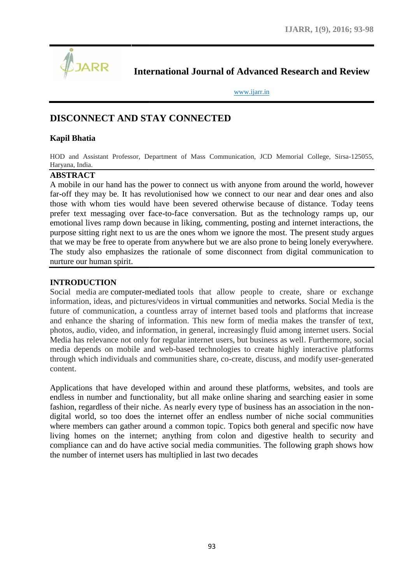

**International Journal of Advanced Research and Review Research** 

www.ijarr.in www.ijarr.in

# **DISCONNECT AND STAY CONNECTED**

### **Kapil Bhatia**

HOD and Assistant Professor, Department of Mass Communication, JCD Memorial College, Sirsa-125055, Haryana, India.

### **ABSTRACT**

A mobile in our hand has the power to connect us with anyone from around the world, however far-off they may be. It has revolutionised how we connect to our near and dear ones and also those with whom ties would have been severed otherwise because of distance. Today teens prefer text messaging over face-to-face conversation. But as the technology ramps up, our emotional lives ramp down because in liking, commenting, posting and internet interactions, the purpose sitting right next to us are the ones whom we ignore the most. The present study argues that we may be free to operate from anywhere but we are also prone to being lonely everywhere. that we may be free to operate from anywhere but we are also prone to being lonely everywhere.<br>The study also emphasizes the rationale of some disconnect from digital communication to nurture our human spirit. ile in our hand has the power to connect us with anyone from around the world, however<br>they may be. It has revolutionised how we connect to our near and dear ones and also<br>with whom ties would have been severed otherwise b

### **INTRODUCTION**

Social media are computer-mediated tools that allow people to create, share or exchange information, ideas, and pictures/videos in virtual communities and networks. Social Media is the future of communication, a countless array of internet based tools and platforms that increase and enhance the sharing of information. This new form of media makes the transfer of text, photos, audio, video, and information, in general, increasingly fluid among internet users. Social Media has relevance not only for regular internet users, but business as well. Furthermore, social media depends on mobile and web-based technologies to create highly interactive platforms through which individuals and communities share, co-create, discuss, and modify user-generated content. mation, ideas, and pictures/videos in virtual communities and networks. Social Media is the e of communication, a countless array of internet based tools and platforms that increase enhance the sharing of information. This in make the messaging over face-to-face conversation. But as the technology ramps up, ours sitting right mext to us are the ones whom we ignore the most. The present study argues and include of some discommenting, posting

Applications that have developed within and around these platforms, websites, and tools are endless in number and functionality, but all make online sharing and searching easier in some fashion, regardless of their niche. As nearly every type of business has an association in the non digital world, so too does the internet offer an endless number of niche social communities where members can gather around a common topic. Topics both general and specific now have living homes on the internet; anything from colon and digestive health to security and compliance can and do have active social media communities. The following graph shows how the number of internet users has multiplied in last two decades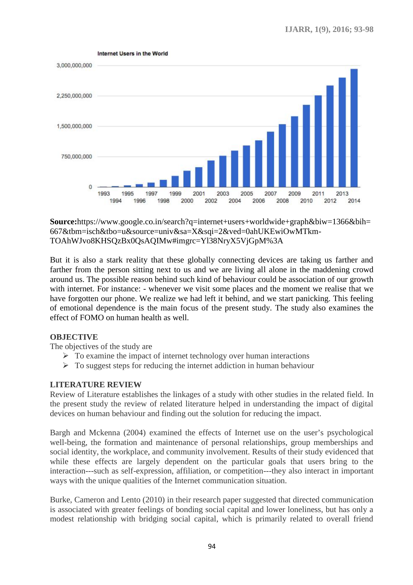

**Source:**https://www.google.co.in/search?q=internet+users+worldwide+graph&biw=1366&bih= 667&tbm=isch&tbo=u&source=univ&sa=X&sqi=2&ved=0ahUKEwiOwMTkm- TOAhWJvo8KHSQzBx0QsAQIMw#imgrc=Yl38NryX5VjGpM%3A

But it is also a stark reality that these globally connecting devices are taking us farther and farther from the person sitting next to us and we are living all alone in the maddening crowd around us. The possible reason behind such kind of behaviour could be association of our growth with internet. For instance: - whenever we visit some places and the moment we realise that we have forgotten our phone. We realize we had left it behind, and we start panicking. This feeling of emotional dependence is the main focus of the present study. The study also examines the effect of FOMO on human health as well. **Source:**https://www.google.co.in/search?q=internet+users+worldwide+graph&biw=1366&bih=667&tbm=isch&tbo=u&source=univ&sa=X&sqi=2&ved=0ahUKEwiOwMTkm-TOAhWJvo8KHSQzBx0QsAQIMw#imgrc=Yl38NryX5VjGpM%3A<br>But it is also a stark re

# **OBJECTIVE**

The objectives of the study are

- $\triangleright$  To examine the impact of internet technology over human interactions
- $\triangleright$  To suggest steps for reducing the internet addiction in human behaviour

# **LITERATURE REVIEW**

Review of Literature establishes the linkages of a study with other studies in the related field. In the present study the review of related literature helped in understanding the impact of digital Internal Section in human behaviour<br> **ERATURE REVIEW**<br>
iew of Literature establishes the linkages of a study with other studies in the related field. In<br>
present study the review of related literature helped in understandi

devices on human behaviour and finding out the solution for reducing the impact.<br>Bargh and Mckenna (2004) examined the effects of Internet use on the user's psy Bargh and Mckenna (2004) examined the effects of Internet use on the user's psychological well-being, the formation and maintenance of personal relationships, group memberships and social identity, the workplace, and community involvement. Results of their study evidenced that while these effects are largely dependent on the particular goals that users bring to the interaction---such as self-expression, affiliation, or competition---they also interact in important ways with the unique qualities of the Internet communication situation. eing, the formation and maintenance of personal relationships, group memberships and<br>identity, the workplace, and community involvement. Results of their study evidenced that<br>these effects are largely dependent on the part

Burke, Cameron and Lento (2010) in their research paper suggested that directed communication is associated with greater feelings of bonding social capital and lower loneliness, but has only a modest relationship with bridging social capital, which is primarily related to overall friend Internet communication situation.<br>
Solution: Internet communication situation.<br>
In their research paper suggested that directed communication<br>
or f bonding social capital and lower loneliness, but<br>
social capital, which is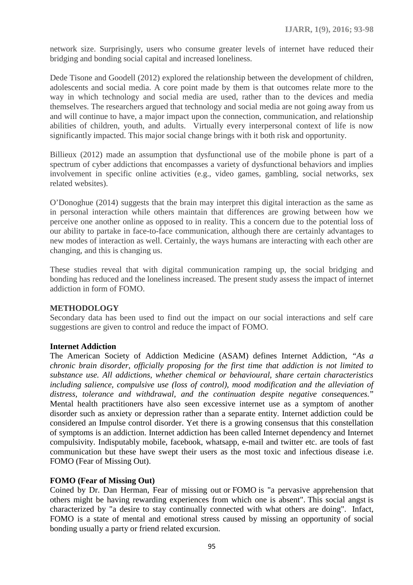network size. Surprisingly, users who consume greater levels of internet have reduced their bridging and bonding social capital and increased loneliness.

Dede Tisone and Goodell (2012) explored the relationship between the development of children, adolescents and social media. A core point made by them is that outcomes relate more to the way in which technology and social media are used, rather than to the devices and media themselves. The researchers argued that technology and social media are not going away from us and will continue to have, a major impact upon the connection, communication, and relationship abilities of children, youth, and adults. Virtually every interpersonal context of life is now significantly impacted. This major social change brings with it both risk and opportunity.

Billieux (2012) made an assumption that dysfunctional use of the mobile phone is part of a spectrum of cyber addictions that encompasses a variety of dysfunctional behaviors and implies involvement in specific online activities (e.g., video games, gambling, social networks, sex related websites).

O'Donoghue (2014) suggests that the brain may interpret this digital interaction as the same as in personal interaction while others maintain that differences are growing between how we perceive one another online as opposed to in reality. This a concern due to the potential loss of our ability to partake in face-to-face communication, although there are certainly advantages to new modes of interaction as well. Certainly, the ways humans are interacting with each other are changing, and this is changing us.

These studies reveal that with digital communication ramping up, the social bridging and bonding has reduced and the loneliness increased. The present study assess the impact of internet addiction in form of FOMO.

#### **METHODOLOGY**

Secondary data has been used to find out the impact on our social interactions and self care suggestions are given to control and reduce the impact of FOMO.

#### **Internet Addiction**

The American Society of Addiction Medicine (ASAM) defines Internet Addiction, *"As a chronic brain disorder, officially proposing for the first time that addiction is not limited to substance use. All addictions, whether chemical or behavioural, share certain characteristics including salience, compulsive use (loss of control), mood modification and the alleviation of distress, tolerance and withdrawal, and the continuation despite negative consequences.*" Mental health practitioners have also seen excessive internet use as a symptom of another disorder such as anxiety or depression rather than a separate entity. Internet addiction could be considered an Impulse control disorder. Yet there is a growing consensus that this constellation of symptoms is an addiction. Internet addiction has been called Internet dependency and Internet compulsivity. Indisputably mobile, facebook, whatsapp, e-mail and twitter etc. are tools of fast communication but these have swept their users as the most toxic and infectious disease i.e. FOMO (Fear of Missing Out).

#### **FOMO (Fear of Missing Out)**

Coined by Dr. Dan Herman, Fear of missing out or FOMO is "a pervasive apprehension that others might be having rewarding experiences from which one is absent". This social angst is characterized by "a desire to stay continually connected with what others are doing". Infact, FOMO is a state of mental and emotional stress caused by missing an opportunity of social bonding usually a party or friend related excursion.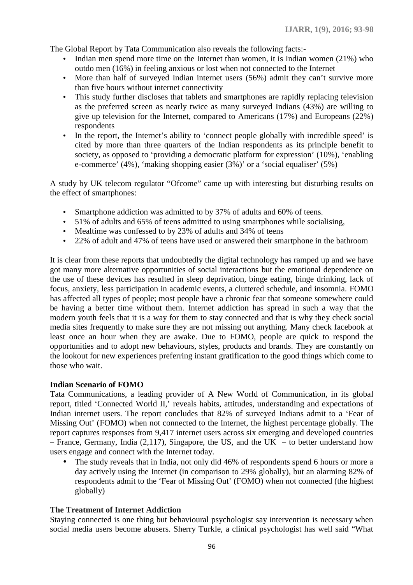The Global Report by Tata Communication also reveals the following facts:-

- Indian men spend more time on the Internet than women, it is Indian women (21%) who outdo men (16%) in feeling anxious or lost when not connected to the Internet
- More than half of surveyed Indian internet users (56%) admit they can't survive more than five hours without internet connectivity
- This study further discloses that tablets and smartphones are rapidly replacing television as the preferred screen as nearly twice as many surveyed Indians (43%) are willing to give up television for the Internet, compared to Americans (17%) and Europeans (22%) respondents
- In the report, the Internet's ability to 'connect people globally with incredible speed' is cited by more than three quarters of the Indian respondents as its principle benefit to society, as opposed to 'providing a democratic platform for expression' (10%), 'enabling e-commerce' (4%), 'making shopping easier (3%)' or a 'social equaliser' (5%)

A study by UK telecom regulator "Ofcome" came up with interesting but disturbing results on the effect of smartphones:

- Smartphone addiction was admitted to by 37% of adults and 60% of teens.
- 51% of adults and 65% of teens admitted to using smartphones while socialising,
- Mealtime was confessed to by 23% of adults and 34% of teens
- 22% of adult and 47% of teens have used or answered their smartphone in the bathroom

It is clear from these reports that undoubtedly the digital technology has ramped up and we have got many more alternative opportunities of social interactions but the emotional dependence on the use of these devices has resulted in sleep deprivation, binge eating, binge drinking, lack of focus, anxiety, less participation in academic events, a cluttered schedule, and insomnia. FOMO has affected all types of people; most people have a chronic fear that someone somewhere could be having a better time without them. Internet addiction has spread in such a way that the modern youth feels that it is a way for them to stay connected and that is why they check social media sites frequently to make sure they are not missing out anything. Many check facebook at least once an hour when they are awake. Due to FOMO, people are quick to respond the opportunities and to adopt new behaviours, styles, products and brands. They are constantly on the lookout for new experiences preferring instant gratification to the good things which come to those who wait.

#### **Indian Scenario of FOMO**

Tata Communications, a leading provider of A New World of Communication, in its global report, titled 'Connected World II,' reveals habits, attitudes, understanding and expectations of Indian internet users. The report concludes that 82% of surveyed Indians admit to a 'Fear of Missing Out' (FOMO) when not connected to the Internet, the highest percentage globally. The report captures responses from 9,417 internet users across six emerging and developed countries – France, Germany, India  $(2,117)$ , Singapore, the US, and the UK – to better understand how users engage and connect with the Internet today.

• The study reveals that in India, not only did 46% of respondents spend 6 hours or more a day actively using the Internet (in comparison to 29% globally), but an alarming 82% of respondents admit to the 'Fear of Missing Out' (FOMO) when not connected (the highest globally)

#### **The Treatment of Internet Addiction**

Staying connected is one thing but behavioural psychologist say intervention is necessary when social media users become abusers. Sherry Turkle, a clinical psychologist has well said "What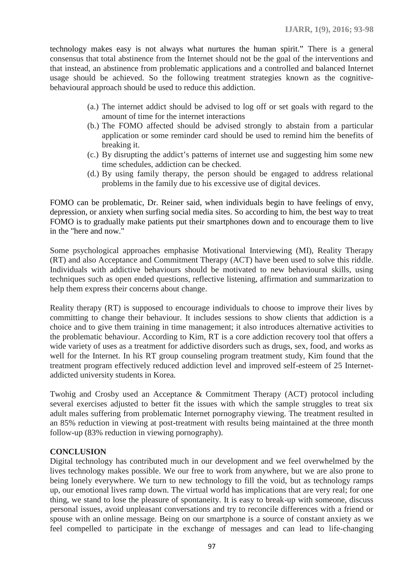technology makes easy is not always what nurtures the human spirit." There is a general consensus that total abstinence from the Internet should not be the goal of the interventions and that instead, an abstinence from problematic applications and a controlled and balanced Internet usage should be achieved. So the following treatment strategies known as the cognitive behavioural approach should be used to reduce this addiction.

- (a.) The internet addict should be advised to log off or set goals with regard to the amount of time for the internet interactions
- (b.) The FOMO affected should be advised strongly to abstain from a particular application or some reminder card should be used to remind him the benefits of breaking it.
- (c.) By disrupting the addict's patterns of internet use and suggesting him some new time schedules, addiction can be checked.
- (d.) By using family therapy, the person should be engaged to address relational problems in the family due to his excessive use of digital devices.

FOMO can be problematic, Dr. Reiner said, when individuals begin to have feelings of envy, depression, or anxiety when surfing social media sites. So according to him, the best way to treat FOMO is to gradually make patients put their smartphones down and to encourage them to live in the "here and now."

Some psychological approaches emphasise Motivational Interviewing (MI), Reality Therapy (RT) and also Acceptance and Commitment Therapy (ACT) have been used to solve this riddle. Individuals with addictive behaviours should be motivated to new behavioural skills, using techniques such as open ended questions, reflective listening, affirmation and summarization to help them express their concerns about change.

Reality therapy (RT) is supposed to encourage individuals to choose to improve their lives by committing to change their behaviour. It includes sessions to show clients that addiction is a choice and to give them training in time management; it also introduces alternative activities to the problematic behaviour. According to Kim, RT is a core addiction recovery tool that offers a wide variety of uses as a treatment for addictive disorders such as drugs, sex, food, and works as well for the Internet. In his RT group counseling program treatment study, Kim found that the treatment program effectively reduced addiction level and improved self-esteem of 25 Internet addicted university students in Korea.

Twohig and Crosby used an Acceptance & Commitment Therapy (ACT) protocol including several exercises adjusted to better fit the issues with which the sample struggles to treat six adult males suffering from problematic Internet pornography viewing. The treatment resulted in an 85% reduction in viewing at post-treatment with results being maintained at the three month follow-up (83% reduction in viewing pornography).

# **CONCLUSION**

Digital technology has contributed much in our development and we feel overwhelmed by the lives technology makes possible. We our free to work from anywhere, but we are also prone to being lonely everywhere. We turn to new technology to fill the void, but as technology ramps up, our emotional lives ramp down. The virtual world has implications that are very real; for one thing, we stand to lose the pleasure of spontaneity. It is easy to break-up with someone, discuss personal issues, avoid unpleasant conversations and try to reconcile differences with a friend or spouse with an online message. Being on our smartphone is a source of constant anxiety as we feel compelled to participate in the exchange of messages and can lead to life-changing